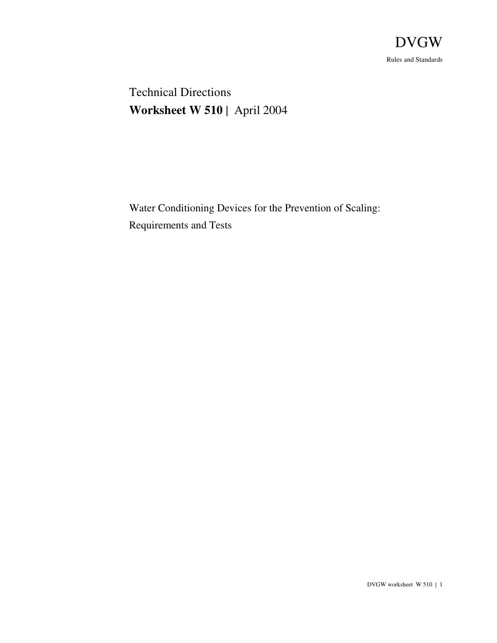

 Technical Directions **Worksheet W 510** | April 2004

Water Conditioning Devices for the Prevention of Scaling: Requirements and Tests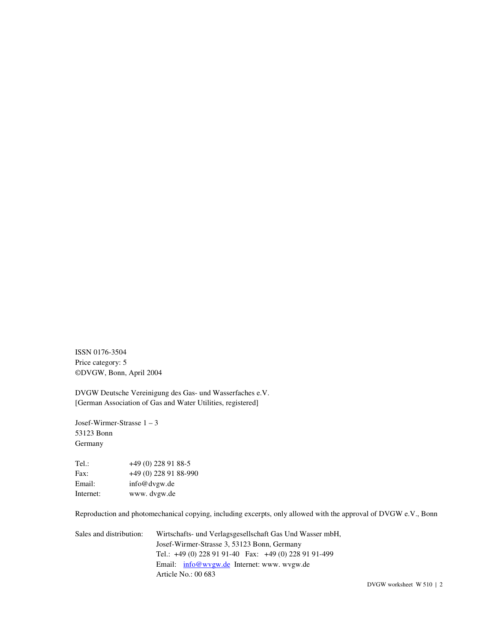ISSN 0176-3504 Price category: 5 ©DVGW, Bonn, April 2004

DVGW Deutsche Vereinigung des Gas- und Wasserfaches e.V. [German Association of Gas and Water Utilities, registered]

Josef-Wirmer-Strasse 1 – 3 53123 Bonn Germany

Tel.: +49 (0) 228 91 88-5 Fax: +49 (0) 228 91 88-990<br>Email: info@dvgw.de info@dvgw.de Internet: www. dvgw.de

Reproduction and photomechanical copying, including excerpts, only allowed with the approval of DVGW e.V., Bonn

Sales and distribution: Wirtschafts- und Verlagsgesellschaft Gas Und Wasser mbH, Josef-Wirmer-Strasse 3, 53123 Bonn, Germany Tel.: +49 (0) 228 91 91-40 Fax: +49 (0) 228 91 91-499 Email: info@wvgw.de Internet: www. wvgw.de Article No.: 00 683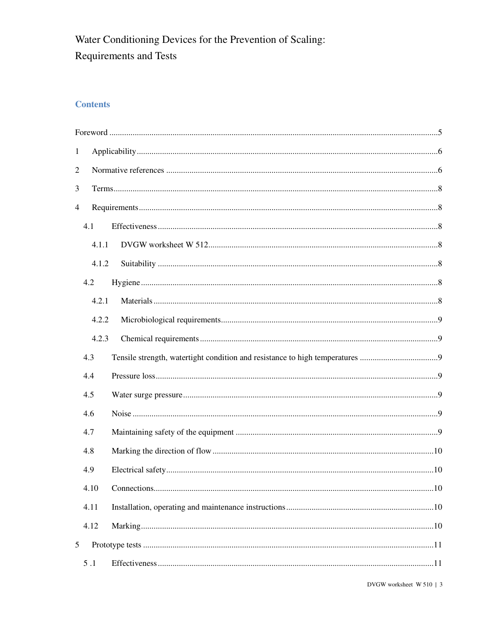# Water Conditioning Devices for the Prevention of Scaling: Requirements and Tests

# **Contents**

| $\mathbf{1}$             |       |    |  |
|--------------------------|-------|----|--|
| $\overline{c}$           |       |    |  |
| 3                        |       |    |  |
| $\overline{\mathcal{L}}$ |       |    |  |
|                          | 4.1   |    |  |
|                          | 4.1.1 |    |  |
|                          | 4.1.2 |    |  |
|                          | 4.2   |    |  |
|                          | 4.2.1 |    |  |
|                          | 4.2.2 |    |  |
|                          | 4.2.3 |    |  |
|                          | 4.3   |    |  |
|                          | 4.4   |    |  |
|                          | 4.5   |    |  |
|                          | 4.6   |    |  |
|                          | 4.7   |    |  |
|                          | 4.8   |    |  |
|                          | 4.9   |    |  |
|                          | 4.10  | 10 |  |
|                          | 4.11  |    |  |
|                          | 4.12  |    |  |
| 5                        |       |    |  |
|                          | $5.1$ |    |  |
|                          |       |    |  |

DVGW worksheet W 510 | 3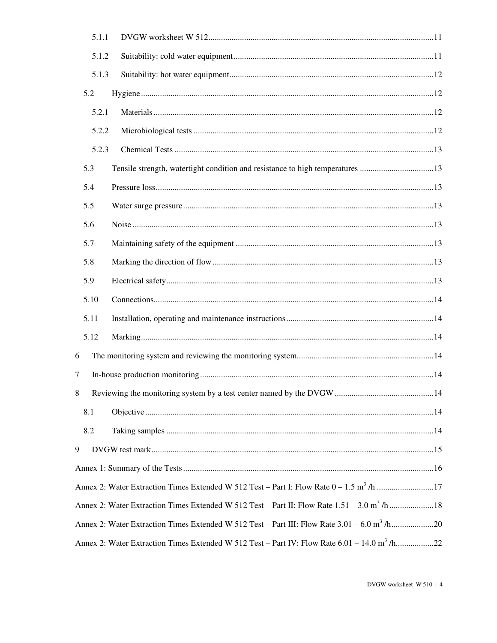|   | 5.1.1 |                                                                                                          |  |
|---|-------|----------------------------------------------------------------------------------------------------------|--|
|   | 5.1.2 |                                                                                                          |  |
|   | 5.1.3 |                                                                                                          |  |
|   | 5.2   |                                                                                                          |  |
|   | 5.2.1 |                                                                                                          |  |
|   | 5.2.2 |                                                                                                          |  |
|   | 5.2.3 |                                                                                                          |  |
|   | 5.3   | Tensile strength, watertight condition and resistance to high temperatures 13                            |  |
|   | 5.4   |                                                                                                          |  |
|   | 5.5   |                                                                                                          |  |
|   | 5.6   |                                                                                                          |  |
|   | 5.7   |                                                                                                          |  |
|   | 5.8   |                                                                                                          |  |
|   | 5.9   |                                                                                                          |  |
|   | 5.10  |                                                                                                          |  |
|   | 5.11  |                                                                                                          |  |
|   | 5.12  |                                                                                                          |  |
| 6 |       |                                                                                                          |  |
| 7 |       |                                                                                                          |  |
| 8 |       |                                                                                                          |  |
|   | 8.1   |                                                                                                          |  |
|   | 8.2   |                                                                                                          |  |
| 9 |       |                                                                                                          |  |
|   |       |                                                                                                          |  |
|   |       | Annex 2: Water Extraction Times Extended W 512 Test - Part I: Flow Rate 0 - 1.5 m <sup>3</sup> /h 17     |  |
|   |       | Annex 2: Water Extraction Times Extended W 512 Test - Part II: Flow Rate 1.51 - 3.0 m <sup>3</sup> /h18  |  |
|   |       | Annex 2: Water Extraction Times Extended W 512 Test - Part III: Flow Rate 3.01 - 6.0 m <sup>3</sup> /h20 |  |
|   |       | Annex 2: Water Extraction Times Extended W 512 Test - Part IV: Flow Rate 6.01 - 14.0 m <sup>3</sup> /h22 |  |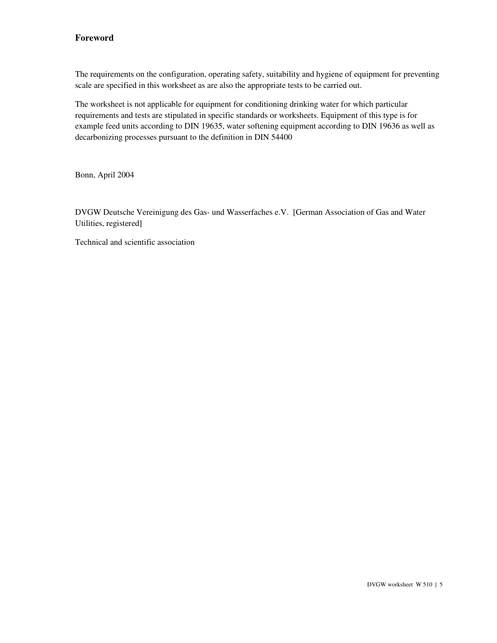# **Foreword**

The requirements on the configuration, operating safety, suitability and hygiene of equipment for preventing scale are specified in this worksheet as are also the appropriate tests to be carried out.

The worksheet is not applicable for equipment for conditioning drinking water for which particular requirements and tests are stipulated in specific standards or worksheets. Equipment of this type is for example feed units according to DIN 19635, water softening equipment according to DIN 19636 as well as decarbonizing processes pursuant to the definition in DIN 54400

Bonn, April 2004

DVGW Deutsche Vereinigung des Gas- und Wasserfaches e.V. [German Association of Gas and Water Utilities, registered]

Technical and scientific association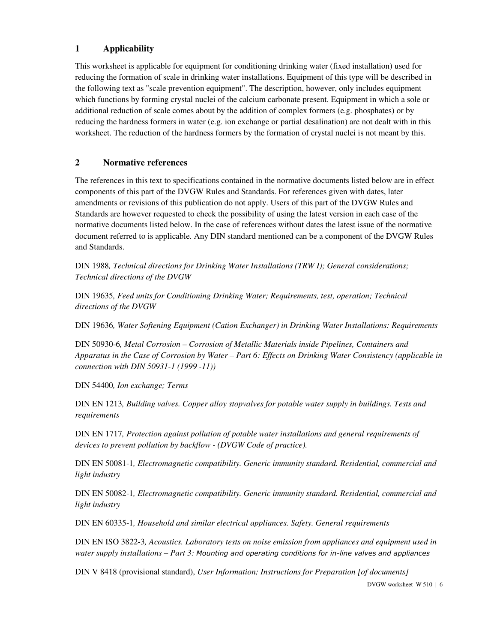# **1 Applicability**

This worksheet is applicable for equipment for conditioning drinking water (fixed installation) used for reducing the formation of scale in drinking water installations. Equipment of this type will be described in the following text as "scale prevention equipment". The description, however, only includes equipment which functions by forming crystal nuclei of the calcium carbonate present. Equipment in which a sole or additional reduction of scale comes about by the addition of complex formers (e.g. phosphates) or by reducing the hardness formers in water (e.g. ion exchange or partial desalination) are not dealt with in this worksheet. The reduction of the hardness formers by the formation of crystal nuclei is not meant by this.

# **2 Normative references**

The references in this text to specifications contained in the normative documents listed below are in effect components of this part of the DVGW Rules and Standards. For references given with dates, later amendments or revisions of this publication do not apply. Users of this part of the DVGW Rules and Standards are however requested to check the possibility of using the latest version in each case of the normative documents listed below. In the case of references without dates the latest issue of the normative document referred to is applicable. Any DIN standard mentioned can be a component of the DVGW Rules and Standards.

DIN 1988*, Technical directions for Drinking Water Installations (TRW I); General considerations; Technical directions of the DVGW* 

DIN 19635*, Feed units for Conditioning Drinking Water; Requirements, test, operation; Technical directions of the DVGW* 

DIN 19636*, Water Softening Equipment (Cation Exchanger) in Drinking Water Installations: Requirements* 

DIN 50930-6*, Metal Corrosion – Corrosion of Metallic Materials inside Pipelines, Containers and Apparatus in the Case of Corrosion by Water – Part 6: Effects on Drinking Water Consistency (applicable in connection with DIN 50931-1 (1999 -11))* 

DIN 54400*, Ion exchange; Terms* 

DIN EN 1213*, Building valves. Copper alloy stopvalves for potable water supply in buildings. Tests and requirements* 

DIN EN 1717*, Protection against pollution of potable water installations and general requirements of devices to prevent pollution by backflow - (DVGW Code of practice).* 

DIN EN 50081-1*, Electromagnetic compatibility. Generic immunity standard. Residential, commercial and light industry* 

DIN EN 50082-1*, Electromagnetic compatibility. Generic immunity standard. Residential, commercial and light industry* 

DIN EN 60335-1*, Household and similar electrical appliances. Safety. General requirements* 

DIN EN ISO 3822-3*, Acoustics. Laboratory tests on noise emission from appliances and equipment used in water supply installations – Part 3:* Mounting and operating conditions for in-line valves and appliances

DIN V 8418 (provisional standard), *User Information; Instructions for Preparation [of documents]* 

DVGW worksheet W 510 | 6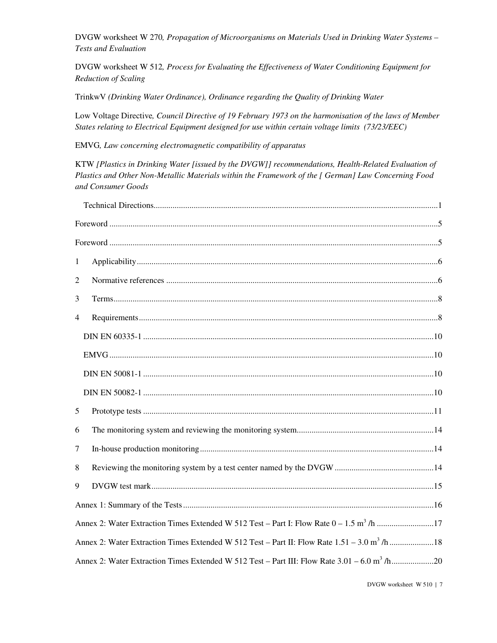DVGW worksheet W 270*, Propagation of Microorganisms on Materials Used in Drinking Water Systems – Tests and Evaluation* 

DVGW worksheet W 512*, Process for Evaluating the Effectiveness of Water Conditioning Equipment for Reduction of Scaling* 

TrinkwV *(Drinking Water Ordinance), Ordinance regarding the Quality of Drinking Water* 

Low Voltage Directive*, Council Directive of 19 February 1973 on the harmonisation of the laws of Member States relating to Electrical Equipment designed for use within certain voltage limits (73/23/EEC)* 

EMVG*, Law concerning electromagnetic compatibility of apparatus* 

KTW *[Plastics in Drinking Water [issued by the DVGW]] recommendations, Health-Related Evaluation of Plastics and Other Non-Metallic Materials within the Framework of the [ German] Law Concerning Food and Consumer Goods* 

| $\mathbf{1}$   |                                                                                                          |
|----------------|----------------------------------------------------------------------------------------------------------|
| 2              |                                                                                                          |
| 3              |                                                                                                          |
| $\overline{4}$ |                                                                                                          |
|                |                                                                                                          |
|                |                                                                                                          |
|                |                                                                                                          |
|                |                                                                                                          |
| 5              |                                                                                                          |
| 6              |                                                                                                          |
| $\tau$         |                                                                                                          |
| 8              |                                                                                                          |
| 9              |                                                                                                          |
|                |                                                                                                          |
|                | Annex 2: Water Extraction Times Extended W 512 Test – Part I: Flow Rate $0 - 1.5$ m <sup>3</sup> /h 17   |
|                | Annex 2: Water Extraction Times Extended W 512 Test - Part II: Flow Rate 1.51 - 3.0 m <sup>3</sup> /h18  |
|                | Annex 2: Water Extraction Times Extended W 512 Test - Part III: Flow Rate 3.01 - 6.0 m <sup>3</sup> /h20 |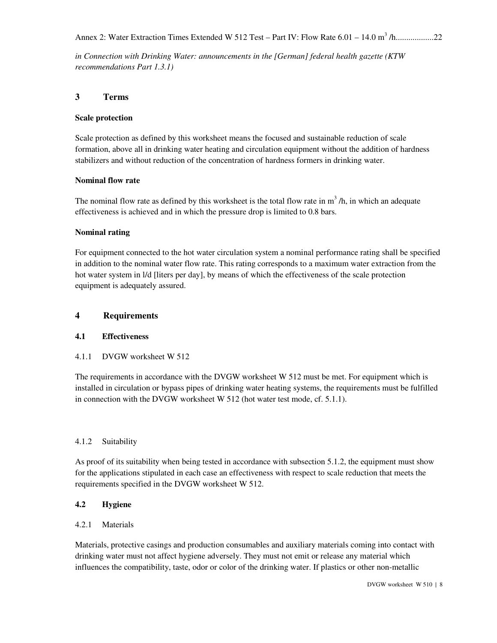*in Connection with Drinking Water: announcements in the [German] federal health gazette (KTW recommendations Part 1.3.1)* 

# **3 Terms**

### **Scale protection**

Scale protection as defined by this worksheet means the focused and sustainable reduction of scale formation, above all in drinking water heating and circulation equipment without the addition of hardness stabilizers and without reduction of the concentration of hardness formers in drinking water.

### **Nominal flow rate**

The nominal flow rate as defined by this worksheet is the total flow rate in  $m<sup>3</sup>$ /h, in which an adequate effectiveness is achieved and in which the pressure drop is limited to 0.8 bars.

### **Nominal rating**

For equipment connected to the hot water circulation system a nominal performance rating shall be specified in addition to the nominal water flow rate. This rating corresponds to a maximum water extraction from the hot water system in l/d [liters per day], by means of which the effectiveness of the scale protection equipment is adequately assured.

### **4 Requirements**

#### **4.1 Effectiveness**

# 4.1.1 DVGW worksheet W 512

The requirements in accordance with the DVGW worksheet W 512 must be met. For equipment which is installed in circulation or bypass pipes of drinking water heating systems, the requirements must be fulfilled in connection with the DVGW worksheet W 512 (hot water test mode, cf. 5.1.1).

# 4.1.2 Suitability

As proof of its suitability when being tested in accordance with subsection 5.1.2, the equipment must show for the applications stipulated in each case an effectiveness with respect to scale reduction that meets the requirements specified in the DVGW worksheet W 512.

#### **4.2 Hygiene**

#### 4.2.1 Materials

Materials, protective casings and production consumables and auxiliary materials coming into contact with drinking water must not affect hygiene adversely. They must not emit or release any material which influences the compatibility, taste, odor or color of the drinking water. If plastics or other non-metallic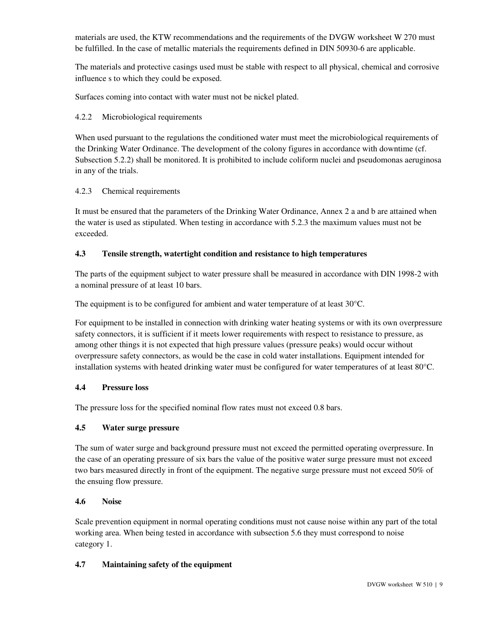materials are used, the KTW recommendations and the requirements of the DVGW worksheet W 270 must be fulfilled. In the case of metallic materials the requirements defined in DIN 50930-6 are applicable.

The materials and protective casings used must be stable with respect to all physical, chemical and corrosive influence s to which they could be exposed.

Surfaces coming into contact with water must not be nickel plated.

### 4.2.2 Microbiological requirements

When used pursuant to the regulations the conditioned water must meet the microbiological requirements of the Drinking Water Ordinance. The development of the colony figures in accordance with downtime (cf. Subsection 5.2.2) shall be monitored. It is prohibited to include coliform nuclei and pseudomonas aeruginosa in any of the trials.

#### 4.2.3 Chemical requirements

It must be ensured that the parameters of the Drinking Water Ordinance, Annex 2 a and b are attained when the water is used as stipulated. When testing in accordance with 5.2.3 the maximum values must not be exceeded.

## **4.3 Tensile strength, watertight condition and resistance to high temperatures**

The parts of the equipment subject to water pressure shall be measured in accordance with DIN 1998-2 with a nominal pressure of at least 10 bars.

The equipment is to be configured for ambient and water temperature of at least 30°C.

For equipment to be installed in connection with drinking water heating systems or with its own overpressure safety connectors, it is sufficient if it meets lower requirements with respect to resistance to pressure, as among other things it is not expected that high pressure values (pressure peaks) would occur without overpressure safety connectors, as would be the case in cold water installations. Equipment intended for installation systems with heated drinking water must be configured for water temperatures of at least 80°C.

#### **4.4 Pressure loss**

The pressure loss for the specified nominal flow rates must not exceed 0.8 bars.

#### **4.5 Water surge pressure**

The sum of water surge and background pressure must not exceed the permitted operating overpressure. In the case of an operating pressure of six bars the value of the positive water surge pressure must not exceed two bars measured directly in front of the equipment. The negative surge pressure must not exceed 50% of the ensuing flow pressure.

#### **4.6 Noise**

Scale prevention equipment in normal operating conditions must not cause noise within any part of the total working area. When being tested in accordance with subsection 5.6 they must correspond to noise category 1.

# **4.7 Maintaining safety of the equipment**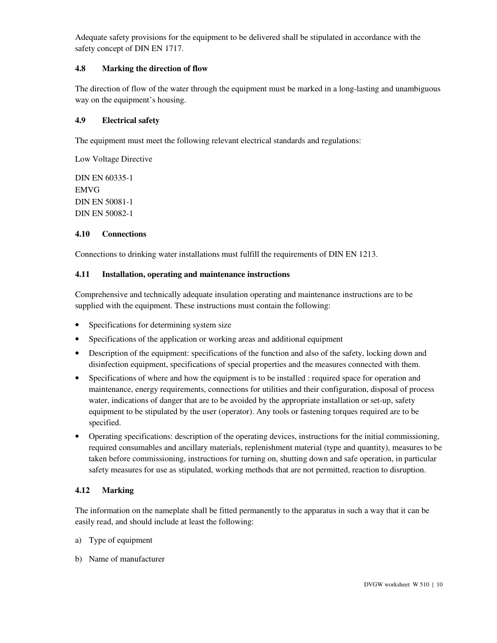Adequate safety provisions for the equipment to be delivered shall be stipulated in accordance with the safety concept of DIN EN 1717.

### **4.8 Marking the direction of flow**

The direction of flow of the water through the equipment must be marked in a long-lasting and unambiguous way on the equipment's housing.

#### **4.9 Electrical safety**

The equipment must meet the following relevant electrical standards and regulations:

Low Voltage Directive

DIN EN 60335-1 EMVG DIN EN 50081-1 DIN EN 50082-1

### **4.10 Connections**

Connections to drinking water installations must fulfill the requirements of DIN EN 1213.

#### **4.11 Installation, operating and maintenance instructions**

Comprehensive and technically adequate insulation operating and maintenance instructions are to be supplied with the equipment. These instructions must contain the following:

- Specifications for determining system size
- Specifications of the application or working areas and additional equipment
- Description of the equipment: specifications of the function and also of the safety, locking down and disinfection equipment, specifications of special properties and the measures connected with them.
- Specifications of where and how the equipment is to be installed : required space for operation and maintenance, energy requirements, connections for utilities and their configuration, disposal of process water, indications of danger that are to be avoided by the appropriate installation or set-up, safety equipment to be stipulated by the user (operator). Any tools or fastening torques required are to be specified.
- Operating specifications: description of the operating devices, instructions for the initial commissioning, required consumables and ancillary materials, replenishment material (type and quantity), measures to be taken before commissioning, instructions for turning on, shutting down and safe operation, in particular safety measures for use as stipulated, working methods that are not permitted, reaction to disruption.

# **4.12 Marking**

The information on the nameplate shall be fitted permanently to the apparatus in such a way that it can be easily read, and should include at least the following:

- a) Type of equipment
- b) Name of manufacturer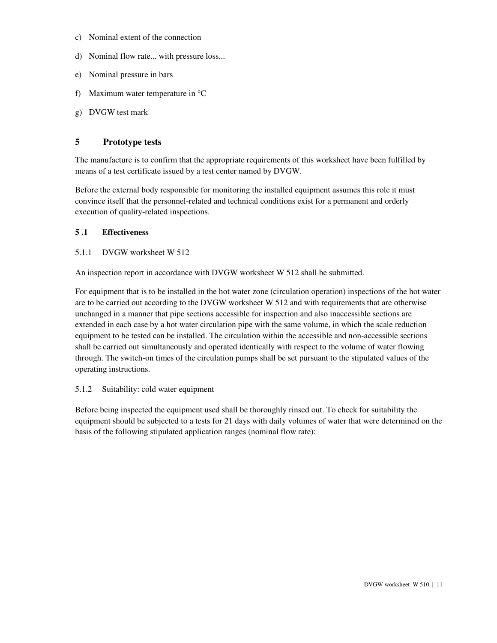- c) Nominal extent of the connection
- d) Nominal flow rate... with pressure loss...
- e) Nominal pressure in bars
- f) Maximum water temperature in °C
- g) DVGW test mark

## **5 Prototype tests**

The manufacture is to confirm that the appropriate requirements of this worksheet have been fulfilled by means of a test certificate issued by a test center named by DVGW.

Before the external body responsible for monitoring the installed equipment assumes this role it must convince itself that the personnel-related and technical conditions exist for a permanent and orderly execution of quality-related inspections.

#### **5 .1 Effectiveness**

#### 5.1.1 DVGW worksheet W 512

An inspection report in accordance with DVGW worksheet W 512 shall be submitted.

For equipment that is to be installed in the hot water zone (circulation operation) inspections of the hot water are to be carried out according to the DVGW worksheet W 512 and with requirements that are otherwise unchanged in a manner that pipe sections accessible for inspection and also inaccessible sections are extended in each case by a hot water circulation pipe with the same volume, in which the scale reduction equipment to be tested can be installed. The circulation within the accessible and non-accessible sections shall be carried out simultaneously and operated identically with respect to the volume of water flowing through. The switch-on times of the circulation pumps shall be set pursuant to the stipulated values of the operating instructions.

#### 5.1.2 Suitability: cold water equipment

Before being inspected the equipment used shall be thoroughly rinsed out. To check for suitability the equipment should be subjected to a tests for 21 days with daily volumes of water that were determined on the basis of the following stipulated application ranges (nominal flow rate):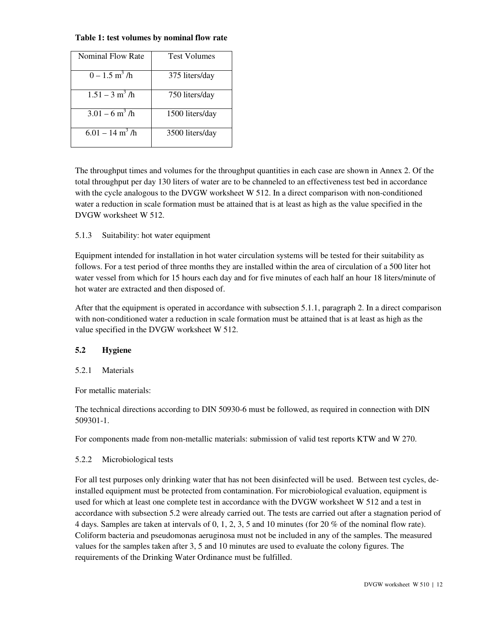#### **Table 1: test volumes by nominal flow rate**

| Nominal Flow Rate             | <b>Test Volumes</b> |
|-------------------------------|---------------------|
| $0 - 1.5$ m <sup>3</sup> /h   | 375 liters/day      |
| $1.51 - 3$ m <sup>3</sup> /h  | 750 liters/day      |
| $3.01 - 6$ m <sup>3</sup> /h  | 1500 liters/day     |
| $6.01 - 14$ m <sup>3</sup> /h | 3500 liters/day     |

The throughput times and volumes for the throughput quantities in each case are shown in Annex 2. Of the total throughput per day 130 liters of water are to be channeled to an effectiveness test bed in accordance with the cycle analogous to the DVGW worksheet W 512. In a direct comparison with non-conditioned water a reduction in scale formation must be attained that is at least as high as the value specified in the DVGW worksheet W 512.

# 5.1.3 Suitability: hot water equipment

Equipment intended for installation in hot water circulation systems will be tested for their suitability as follows. For a test period of three months they are installed within the area of circulation of a 500 liter hot water vessel from which for 15 hours each day and for five minutes of each half an hour 18 liters/minute of hot water are extracted and then disposed of.

After that the equipment is operated in accordance with subsection 5.1.1, paragraph 2. In a direct comparison with non-conditioned water a reduction in scale formation must be attained that is at least as high as the value specified in the DVGW worksheet W 512.

#### **5.2 Hygiene**

#### 5.2.1 Materials

For metallic materials:

The technical directions according to DIN 50930-6 must be followed, as required in connection with DIN 509301-1.

For components made from non-metallic materials: submission of valid test reports KTW and W 270.

#### 5.2.2 Microbiological tests

For all test purposes only drinking water that has not been disinfected will be used. Between test cycles, deinstalled equipment must be protected from contamination. For microbiological evaluation, equipment is used for which at least one complete test in accordance with the DVGW worksheet W 512 and a test in accordance with subsection 5.2 were already carried out. The tests are carried out after a stagnation period of 4 days. Samples are taken at intervals of 0, 1, 2, 3, 5 and 10 minutes (for 20 % of the nominal flow rate). Coliform bacteria and pseudomonas aeruginosa must not be included in any of the samples. The measured values for the samples taken after 3, 5 and 10 minutes are used to evaluate the colony figures. The requirements of the Drinking Water Ordinance must be fulfilled.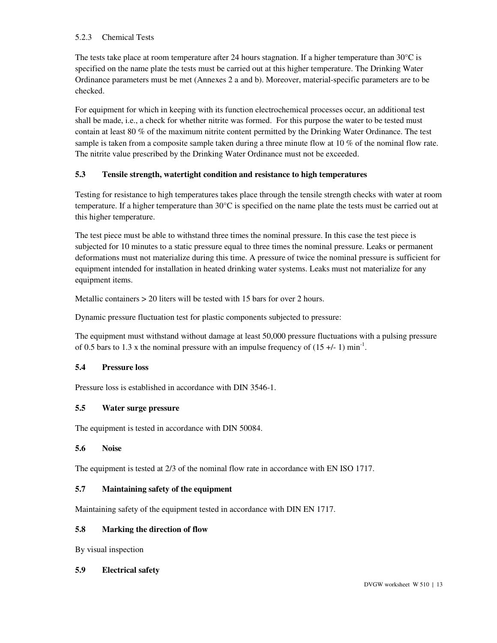#### 5.2.3 Chemical Tests

The tests take place at room temperature after 24 hours stagnation. If a higher temperature than  $30^{\circ}$ C is specified on the name plate the tests must be carried out at this higher temperature. The Drinking Water Ordinance parameters must be met (Annexes 2 a and b). Moreover, material-specific parameters are to be checked.

For equipment for which in keeping with its function electrochemical processes occur, an additional test shall be made, i.e., a check for whether nitrite was formed. For this purpose the water to be tested must contain at least 80 % of the maximum nitrite content permitted by the Drinking Water Ordinance. The test sample is taken from a composite sample taken during a three minute flow at 10 % of the nominal flow rate. The nitrite value prescribed by the Drinking Water Ordinance must not be exceeded.

# **5.3 Tensile strength, watertight condition and resistance to high temperatures**

Testing for resistance to high temperatures takes place through the tensile strength checks with water at room temperature. If a higher temperature than 30°C is specified on the name plate the tests must be carried out at this higher temperature.

The test piece must be able to withstand three times the nominal pressure. In this case the test piece is subjected for 10 minutes to a static pressure equal to three times the nominal pressure. Leaks or permanent deformations must not materialize during this time. A pressure of twice the nominal pressure is sufficient for equipment intended for installation in heated drinking water systems. Leaks must not materialize for any equipment items.

Metallic containers > 20 liters will be tested with 15 bars for over 2 hours.

Dynamic pressure fluctuation test for plastic components subjected to pressure:

The equipment must withstand without damage at least 50,000 pressure fluctuations with a pulsing pressure of 0.5 bars to 1.3 x the nominal pressure with an impulse frequency of  $(15 +/- 1)$  min<sup>-1</sup>.

#### **5.4 Pressure loss**

Pressure loss is established in accordance with DIN 3546-1.

#### **5.5 Water surge pressure**

The equipment is tested in accordance with DIN 50084.

#### **5.6 Noise**

The equipment is tested at 2/3 of the nominal flow rate in accordance with EN ISO 1717.

#### **5.7 Maintaining safety of the equipment**

Maintaining safety of the equipment tested in accordance with DIN EN 1717.

#### **5.8 Marking the direction of flow**

By visual inspection

#### **5.9 Electrical safety**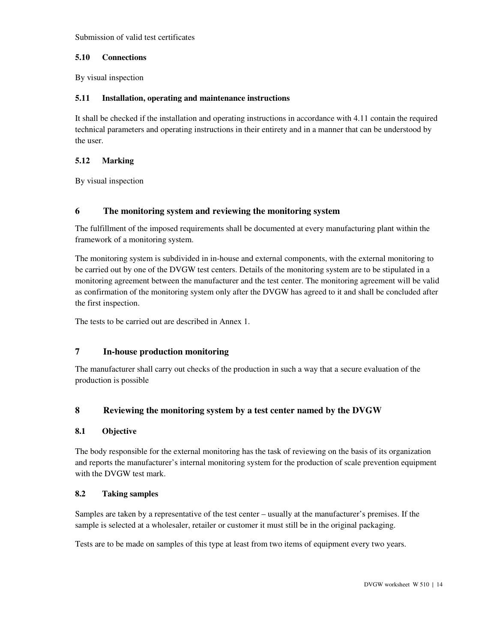Submission of valid test certificates

### **5.10 Connections**

By visual inspection

## **5.11 Installation, operating and maintenance instructions**

It shall be checked if the installation and operating instructions in accordance with 4.11 contain the required technical parameters and operating instructions in their entirety and in a manner that can be understood by the user.

# **5.12 Marking**

By visual inspection

# **6 The monitoring system and reviewing the monitoring system**

The fulfillment of the imposed requirements shall be documented at every manufacturing plant within the framework of a monitoring system.

The monitoring system is subdivided in in-house and external components, with the external monitoring to be carried out by one of the DVGW test centers. Details of the monitoring system are to be stipulated in a monitoring agreement between the manufacturer and the test center. The monitoring agreement will be valid as confirmation of the monitoring system only after the DVGW has agreed to it and shall be concluded after the first inspection.

The tests to be carried out are described in Annex 1.

# **7 In-house production monitoring**

The manufacturer shall carry out checks of the production in such a way that a secure evaluation of the production is possible

# **8 Reviewing the monitoring system by a test center named by the DVGW**

# **8.1 Objective**

The body responsible for the external monitoring has the task of reviewing on the basis of its organization and reports the manufacturer's internal monitoring system for the production of scale prevention equipment with the DVGW test mark.

# **8.2 Taking samples**

Samples are taken by a representative of the test center – usually at the manufacturer's premises. If the sample is selected at a wholesaler, retailer or customer it must still be in the original packaging.

Tests are to be made on samples of this type at least from two items of equipment every two years.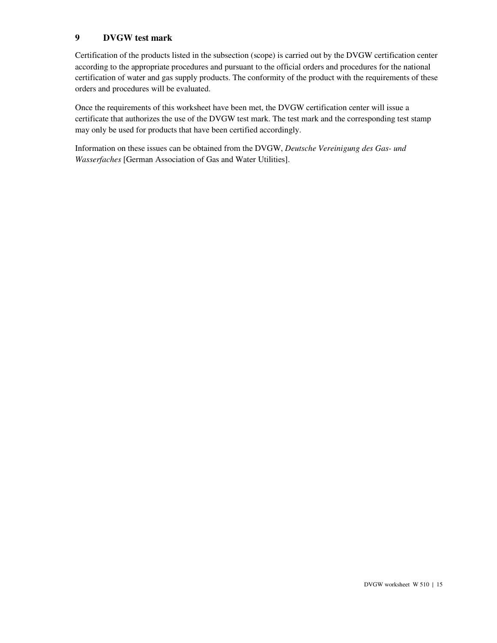# **9 DVGW test mark**

Certification of the products listed in the subsection (scope) is carried out by the DVGW certification center according to the appropriate procedures and pursuant to the official orders and procedures for the national certification of water and gas supply products. The conformity of the product with the requirements of these orders and procedures will be evaluated.

Once the requirements of this worksheet have been met, the DVGW certification center will issue a certificate that authorizes the use of the DVGW test mark. The test mark and the corresponding test stamp may only be used for products that have been certified accordingly.

Information on these issues can be obtained from the DVGW, *Deutsche Vereinigung des Gas- und Wasserfaches* [German Association of Gas and Water Utilities].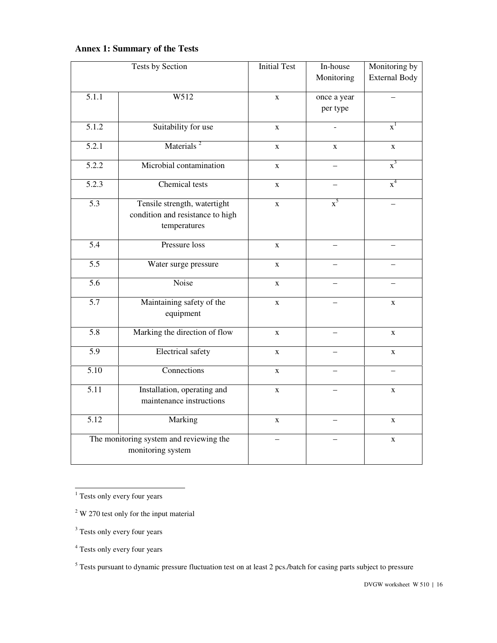# **Annex 1: Summary of the Tests**

|                    | <b>Tests by Section</b>                                                          | <b>Initial Test</b> | In-house<br>Monitoring  | Monitoring by<br><b>External Body</b> |
|--------------------|----------------------------------------------------------------------------------|---------------------|-------------------------|---------------------------------------|
| $\overline{5.1.1}$ | W512                                                                             | $\mathbf X$         | once a year<br>per type |                                       |
| 5.1.2              | Suitability for use                                                              | $\mathbf X$         | $\overline{a}$          | $\mathbf{x}^1$                        |
| $\overline{5.2.1}$ | Materials <sup>2</sup>                                                           | $\mathbf X$         | $\mathbf X$             | $\mathbf X$                           |
| 5.2.2              | Microbial contamination                                                          | $\mathbf X$         |                         | $x^3$                                 |
| $\overline{5.2.3}$ | Chemical tests                                                                   | $\mathbf X$         |                         | $\overline{x}^4$                      |
| $\overline{5.3}$   | Tensile strength, watertight<br>condition and resistance to high<br>temperatures | $\mathbf X$         | $x^5$                   |                                       |
| $\overline{5.4}$   | Pressure loss                                                                    | $\mathbf{X}$        |                         |                                       |
| $\overline{5.5}$   | Water surge pressure                                                             | $\mathbf X$         |                         |                                       |
| 5.6                | Noise                                                                            | X                   |                         |                                       |
| $\overline{5.7}$   | Maintaining safety of the<br>equipment                                           | $\mathbf x$         |                         | $\mathbf X$                           |
| $\overline{5.8}$   | Marking the direction of flow                                                    | $\mathbf X$         |                         | $\mathbf X$                           |
| $\overline{5.9}$   | <b>Electrical safety</b>                                                         | $\mathbf X$         |                         | $\mathbf X$                           |
| $\overline{5.10}$  | Connections                                                                      | $\mathbf X$         |                         |                                       |
| $\overline{5.11}$  | Installation, operating and<br>maintenance instructions                          | $\mathbf X$         |                         | $\mathbf X$                           |
| $\overline{5.12}$  | Marking                                                                          | $\mathbf{X}$        |                         | $\mathbf{X}$                          |
|                    | The monitoring system and reviewing the<br>monitoring system                     |                     |                         | $\mathbf X$                           |

<sup>1</sup> Tests only every four years

 $2^2$  W 270 test only for the input material

<sup>&</sup>lt;sup>3</sup> Tests only every four years

<sup>&</sup>lt;sup>4</sup> Tests only every four years

<sup>&</sup>lt;sup>5</sup> Tests pursuant to dynamic pressure fluctuation test on at least 2 pcs./batch for casing parts subject to pressure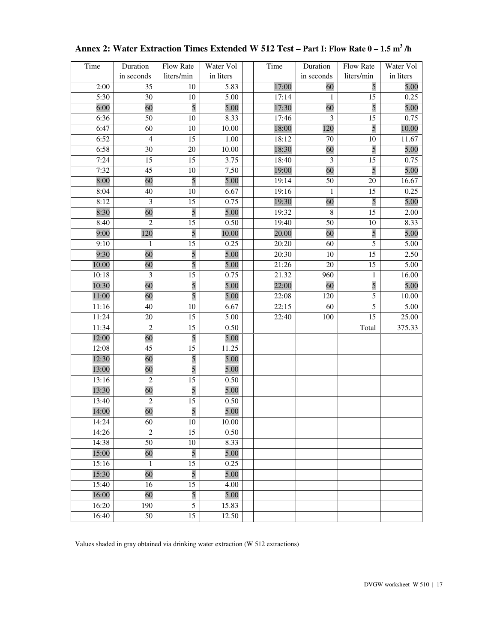| Time  | Duration        | Flow Rate       | Water Vol | Time  | Duration   | Flow Rate       | Water Vol |
|-------|-----------------|-----------------|-----------|-------|------------|-----------------|-----------|
|       | in seconds      | liters/min      | in liters |       | in seconds | liters/min      | in liters |
| 2:00  | 35              | 10              | 5.83      | 17:00 | 60         | 5               | 5.00      |
| 5:30  | 30              | 10              | 5.00      | 17:14 | 1          | 15              | 0.25      |
| 6:00  | 60              | 5               | 5.00      | 17:30 | 60         | 5               | 5.00      |
| 6:36  | 50              | 10              | 8.33      | 17:46 | 3          | 15              | 0.75      |
| 6:47  | 60              | 10              | 10.00     | 18:00 | 120        | 5               | 10.00     |
| 6:52  | $\overline{4}$  | 15              | 1.00      | 18:12 | 70         | 10              | 11.67     |
| 6:58  | 30              | 20              | 10.00     | 18:30 | 60         | 5               | 5.00      |
| 7:24  | 15              | 15              | 3.75      | 18:40 | 3          | 15              | 0.75      |
| 7:32  | 45              | 10              | 7,50      | 19:00 | 60         | 5               | 5.00      |
| 8:00  | 60              | 5               | 5.00      | 19:14 | 50         | 20              | 16.67     |
| 8:04  | 40              | 10              | 6.67      | 19:16 | 1          | 15              | 0.25      |
| 8:12  | $\overline{3}$  | 15              | 0.75      | 19:30 | 60         | 5               | 5.00      |
| 8:30  | 60              | 5               | 5.00      | 19:32 | $\,8\,$    | 15              | 2.00      |
| 8:40  | 2               | 15              | 0.50      | 19:40 | 50         | 10              | 8.33      |
| 9:00  | 120             | 5               | 10.00     | 20.00 | 60         | 5               | 5.00      |
| 9:10  | $\mathbf{1}$    | $\overline{15}$ | 0.25      | 20:20 | 60         | 5               | 5.00      |
| 9:30  | 60              | 5               | 5.00      | 20:30 | 10         | 15              | 2.50      |
| 10.00 | 60              | 5               | 5.00      | 21:26 | 20         | 15              | 5.00      |
| 10:18 | $\mathfrak{Z}$  | 15              | 0.75      | 21.32 | 960        | $\mathbf{1}$    | 16.00     |
| 10:30 | 60              | 5               | 5.00      | 22:00 | 60         | 5               | 5.00      |
| 11:00 | 60              | 5               | 5.00      | 22:08 | 120        | $\sqrt{5}$      | 10.00     |
| 11:16 | 40              | 10              | 6.67      | 22:15 | 60         | 5               | 5.00      |
| 11:24 | 20              | $\overline{15}$ | 5.00      | 22:40 | 100        | $\overline{15}$ | 25.00     |
| 11:34 | $\mathbf{2}$    | 15              | 0.50      |       |            | Total           | 375.33    |
| 12:00 | 60              | 5               | 5.00      |       |            |                 |           |
| 12:08 | $\overline{45}$ | 15              | 11.25     |       |            |                 |           |
| 12:30 | 60              | 5               | 5.00      |       |            |                 |           |
| 13:00 | 60              | 5               | 5.00      |       |            |                 |           |
| 13:16 | $\overline{2}$  | 15              | 0.50      |       |            |                 |           |
| 13:30 | 60              | 5               | 5.00      |       |            |                 |           |
| 13:40 | $\mathfrak{2}$  | $\overline{15}$ | 0.50      |       |            |                 |           |
| 14:00 | 60              | 5               | 5.00      |       |            |                 |           |
| 14:24 | 60              | 10              | 10.00     |       |            |                 |           |
| 14:26 | $\mathfrak{2}$  | 15              | 0.50      |       |            |                 |           |
| 14:38 | 50              | $10\,$          | 8.33      |       |            |                 |           |
| 15:00 | 60              | 5               | 5.00      |       |            |                 |           |
| 15:16 | $\mathbf{1}$    | 15              | 0.25      |       |            |                 |           |
| 15:30 | 60              | 5               | 5.00      |       |            |                 |           |
| 15:40 | 16              | 15              | 4.00      |       |            |                 |           |
| 16:00 | 60              | 5               | 5.00      |       |            |                 |           |
| 16:20 | 190             | 5               | 15.83     |       |            |                 |           |
| 16:40 | 50              | $\overline{15}$ | 12.50     |       |            |                 |           |

**Annex 2: Water Extraction Times Extended W 512 Test – Part I: Flow Rate 0 – 1.5 m<sup>3</sup> /h**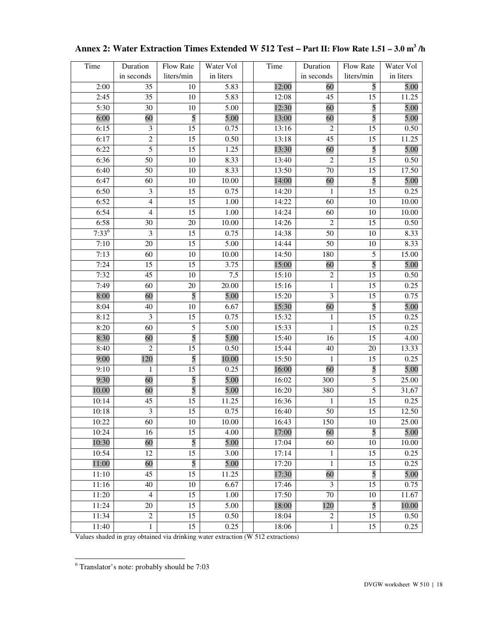| Time       | Duration                | Flow Rate       | Water Vol | Time  | Duration         | Flow Rate       | Water Vol |
|------------|-------------------------|-----------------|-----------|-------|------------------|-----------------|-----------|
|            | in seconds              | liters/min      | in liters |       | in seconds       | liters/min      | in liters |
| 2:00       | 35                      | 10              | 5.83      | 12:00 | 60               | 5               | 5.00      |
| 2:45       | 35                      | $10\,$          | 5.83      | 12:08 | 45               | 15              | 11.25     |
| 5:30       | 30                      | 10              | 5.00      | 12:30 | 60               | 5               | 5.00      |
| 6:00       | 60                      | 5               | 5.00      | 13:00 | 60               | 5               | 5.00      |
| 6:15       | 3                       | $\overline{15}$ | 0.75      | 13:16 | $\overline{2}$   | 15              | 0.50      |
| 6:17       | $\overline{2}$          | 15              | 0.50      | 13:18 | 45               | 15              | 11.25     |
| 6:22       | 5                       | 15              | 1.25      | 13:30 | 60               | 5               | 5.00      |
| 6:36       | 50                      | $10\,$          | 8.33      | 13:40 | $\overline{2}$   | 15              | 0.50      |
| 6:40       | 50                      | 10              | 8.33      | 13:50 | 70               | 15              | 17.50     |
| 6:47       | 60                      | $10\,$          | 10.00     | 14:00 | 60               | 5               | 5.00      |
| 6:50       | $\overline{\mathbf{3}}$ | 15              | 0.75      | 14:20 | 1                | 15              | 0.25      |
| 6:52       | $\overline{4}$          | 15              | 1.00      | 14:22 | 60               | 10              | 10.00     |
| 6:54       | $\overline{4}$          | $\overline{15}$ | 1.00      | 14:24 | 60               | 10              | 10.00     |
| 6:58       | 30                      | $20\,$          | 10.00     | 14:26 | $\overline{2}$   | 15              | 0.50      |
| $7:33^{6}$ | $\mathfrak{Z}$          | 15              | 0.75      | 14:38 | 50               | $10\,$          | 8.33      |
| 7:10       | 20                      | 15              | 5.00      | 14:44 | 50               | 10              | 8.33      |
| 7:13       | 60                      | 10              | 10.00     | 14:50 | 180              | 5               | 15.00     |
| 7:24       | 15                      | 15              | 3.75      | 15:00 | 60               | 5               | 5.00      |
| 7:32       | 45                      | $10\,$          | 7,5       | 15:10 | $\overline{c}$   | $\overline{15}$ | 0.50      |
| 7:49       | 60                      | 20              | 20.00     | 15:16 | 1                | 15              | 0.25      |
| 8:00       | 60                      | $\overline{5}$  | 5.00      | 15:20 | $\mathfrak{Z}$   | 15              | 0.75      |
| 8:04       | 40                      | 10              | 6.67      | 15:30 | 60               | 5               | 5.00      |
| 8:12       | $\overline{\mathbf{3}}$ | $\overline{15}$ | 0.75      | 15:32 | $\mathbf{1}$     | $\overline{15}$ | 0.25      |
| 8:20       | 60                      | 5               | 5.00      | 15:33 | 1                | 15              | 0.25      |
| 8:30       | 60                      | 5               | 5.00      | 15:40 | 16               | 15              | 4.00      |
| 8:40       | $\overline{2}$          | 15              | 0.50      | 15:44 | 40               | 20              | 13.33     |
| 9:00       | 120                     | 5               | 10.00     | 15:50 | 1                | 15              | 0.25      |
| 9:10       | $\mathbf{1}$            | 15              | 0.25      | 16:00 | 60               | 5               | 5.00      |
| 9:30       | 60                      | 5               | 5.00      | 16:02 | 300              | $\sqrt{5}$      | 25.00     |
| 10.00      | 60                      | 5               | 5.00      | 16:20 | 380              | 5               | 31,67     |
| 10:14      | 45                      | 15              | 11.25     | 16:36 | 1                | 15              | 0.25      |
| 10:18      | $\overline{\mathbf{3}}$ | 15              | 0.75      | 16:40 | 50               | 15              | 12.50     |
| 10:22      | 60                      | 10              | 10.00     | 16:43 | 150              | 10              | 25.00     |
| 10:24      | 16                      | 15              | 4.00      | 17:00 | 60               | 5               | 5.00      |
| 10:30      | 60                      | 5               | 5.00      | 17:04 | 60               | 10              | 10.00     |
| 10:54      | 12                      | 15              | 3.00      | 17:14 | $\mathbf{1}$     | 15              | 0.25      |
| 11:00      | 60                      | 5               | 5.00      | 17:20 | $\mathbf{1}$     | 15              | 0.25      |
| 11:10      | 45                      | 15              | 11.25     | 17:30 | 60               | 5               | 5.00      |
| 11:16      | 40                      | 10              | 6.67      | 17:46 | $\mathfrak{Z}$   | 15              | 0.75      |
| 11:20      | $\overline{4}$          | 15              | 1.00      | 17:50 | 70               | 10              | 11.67     |
| 11:24      | $20\,$                  | 15              | 5.00      | 18:00 | 120              | 5               | 10.00     |
| 11:34      | $\sqrt{2}$              | 15              | 0.50      | 18:04 | $\boldsymbol{2}$ | 15              | 0.50      |
| 11:40      | $\mathbf{1}$            | $\overline{15}$ | 0.25      | 18:06 | $\mathbf{1}$     | $\overline{15}$ | 0.25      |

| Annex 2: Water Extraction Times Extended W 512 Test – Part II: Flow Rate 1.51 – 3.0 m <sup>3</sup> /h |  |  |  |
|-------------------------------------------------------------------------------------------------------|--|--|--|
|-------------------------------------------------------------------------------------------------------|--|--|--|

 6 Translator's note: probably should be 7:03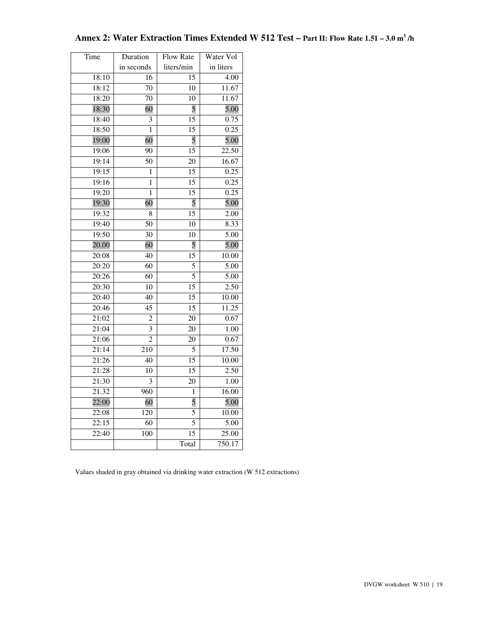| Time               | Duration       | Flow Rate       | Water Vol         |
|--------------------|----------------|-----------------|-------------------|
|                    | in seconds     | liters/min      | in liters         |
| 18:10              | 16             | 15              | 4.00              |
| 18:12              | 70             | $\overline{10}$ | 11.67             |
| 18:20              | 70             | 10              | 11.67             |
| 18:30              | 60             | 5               | 5.00              |
| 18:40              | 3              | 15              | 0.75              |
| 18:50              | 1              | 15              | 0.25              |
| 19:00              | 60             | 5               | 5.00              |
| 19:06              | 90             | 15              | 22.50             |
| $\overline{19:}14$ | 50             | 20              | 16.67             |
| 19:15              | 1              | 15              | 0.25              |
| 19:16              | 1              | 15              | 0.25              |
| 19:20              | $\mathbf{1}$   | 15              | 0.25              |
| 19:30              | 60             | 5               | 5.00              |
| 19:32              | 8              | 15              | 2.00              |
| 19:40              | 50             | 10              | 8.33              |
| 19:50              | 30             | 10              | $\overline{5.00}$ |
| 20.00              | 60             | 5               | 5.00              |
| 20:08              | 40             | 15              | 10.00             |
| 20:20              | 60             | 5               | 5.00              |
| 20:26              | 60             | 5               | $\frac{1}{5.00}$  |
| 20:30              | 10             | 15              | 2.50              |
| 20:40              | 40             | $\overline{15}$ | 10.00             |
| 20:46              | 45             | 15              | 11.25             |
| 21:02              | 2              | 20              | 0.67              |
| 21:04              | 3              | 20              | 1.00              |
| 21:06              | $\overline{2}$ | 20              | 0.67              |
| 21:14              | 210            | 5               | 17.50             |
| 21:26              | 40             | $\overline{15}$ | 10.00             |
| 21:28              | 10             | $\overline{15}$ | 2.50              |
| 21:30              | 3              | 20              | $\overline{1.00}$ |
| 21.32              | 960            | 1               | 16.00             |
| 22:00              | 60             | 5               | 5.00              |
| 22:08              | 120            | 5               | 10.00             |
| 22:15              | 60             | 5               | 5.00              |
| 22:40              | 100            | 15              | 25.00             |
|                    |                | Total           | 750.17            |

# **Annex 2: Water Extraction Times Extended W 512 Test – Part II: Flow Rate 1.51 – 3.0 m<sup>3</sup> /h**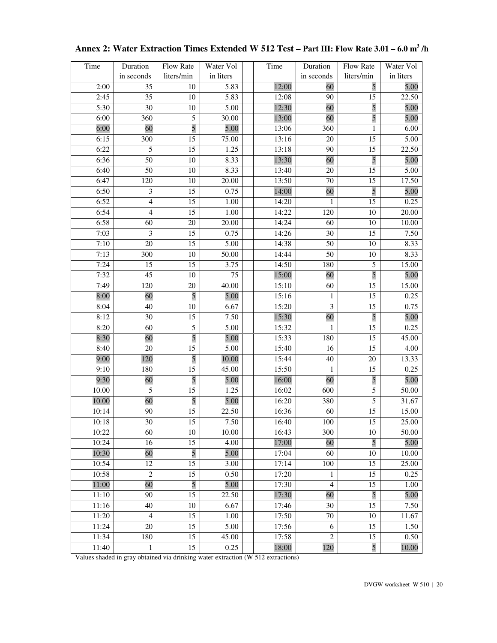| Time  | Duration       | Flow Rate       | Water Vol | Time  | Duration       | Flow Rate      | Water Vol |
|-------|----------------|-----------------|-----------|-------|----------------|----------------|-----------|
|       | in seconds     | liters/min      | in liters |       | in seconds     | liters/min     | in liters |
| 2:00  | 35             | $10\,$          | 5.83      | 12:00 | 60             | 5              | 5.00      |
| 2:45  | 35             | 10              | 5.83      | 12:08 | 90             | 15             | 22.50     |
| 5:30  | 30             | 10              | 5.00      | 12:30 | 60             | 5              | 5.00      |
| 6:00  | 360            | 5               | 30.00     | 13:00 | 60             | 5              | 5.00      |
| 6:00  | 60             | 5               | 5.00      | 13:06 | 360            | $\mathbf{1}$   | 6.00      |
| 6:15  | 300            | 15              | 75.00     | 13:16 | 20             | 15             | 5.00      |
| 6:22  | 5              | 15              | 1.25      | 13:18 | 90             | 15             | 22.50     |
| 6:36  | 50             | $10\,$          | 8.33      | 13:30 | 60             | 5              | 5.00      |
| 6:40  | 50             | $\overline{10}$ | 8.33      | 13:40 | 20             | 15             | 5.00      |
| 6:47  | 120            | $10\,$          | 20.00     | 13:50 | 70             | 15             | 17.50     |
| 6:50  | 3              | 15              | 0.75      | 14:00 | 60             | 5              | 5.00      |
| 6:52  | $\overline{4}$ | 15              | 1.00      | 14:20 | 1              | 15             | 0.25      |
| 6:54  | $\overline{4}$ | 15              | 1.00      | 14:22 | 120            | 10             | 20.00     |
| 6:58  | 60             | $20\,$          | 20.00     | 14:24 | 60             | 10             | 10.00     |
| 7:03  | 3              | 15              | 0.75      | 14:26 | 30             | 15             | 7.50      |
| 7:10  | 20             | 15              | 5.00      | 14:38 | 50             | 10             | 8.33      |
| 7:13  | 300            | $10\,$          | 50.00     | 14:44 | 50             | 10             | 8.33      |
| 7:24  | 15             | 15              | 3.75      | 14:50 | 180            | 5              | 15.00     |
| 7:32  | 45             | $10\,$          | 75        | 15:00 | 60             | 5              | 5.00      |
| 7:49  | 120            | $20\,$          | 40.00     | 15:10 | 60             | 15             | 15.00     |
| 8:00  | 60             | $\overline{5}$  | 5.00      | 15:16 | 1              | 15             | 0.25      |
| 8:04  | 40             | 10              | 6.67      | 15:20 | $\mathfrak{Z}$ | 15             | 0.75      |
| 8:12  | 30             | $\overline{15}$ | 7.50      | 15:30 | 60             | 5              | 5.00      |
| 8:20  | 60             | 5               | 5.00      | 15:32 | 1              | 15             | 0.25      |
| 8:30  | 60             | 5               | 5.00      | 15:33 | 180            | 15             | 45.00     |
| 8:40  | 20             | 15              | 5.00      | 15:40 | 16             | 15             | 4.00      |
| 9:00  | 120            | 5               | 10.00     | 15:44 | 40             | 20             | 13.33     |
| 9:10  | 180            | 15              | 45.00     | 15:50 | $\mathbf{1}$   | 15             | 0.25      |
| 9:30  | 60             | 5               | 5.00      | 16:00 | 60             | 5              | 5.00      |
| 10.00 | $\overline{5}$ | 15              | 1.25      | 16:02 | 600            | 5              | 50.00     |
| 10.00 | 60             | $\overline{5}$  | 5.00      | 16:20 | 380            | $\overline{5}$ | 31,67     |
| 10:14 | 90             | 15              | 22.50     | 16:36 | 60             | 15             | 15.00     |
| 10:18 | 30             | $\overline{15}$ | 7.50      | 16:40 | 100            | 15             | 25.00     |
| 10:22 | 60             | 10              | 10.00     | 16:43 | 300            | 10             | 50.00     |
| 10:24 | 16             | 15              | 4.00      | 17:00 | 60             | 5              | 5.00      |
| 10:30 | 60             | 5               | 5.00      | 17:04 | 60             | 10             | 10.00     |
| 10:54 | 12             | 15              | 3.00      | 17:14 | 100            | 15             | 25.00     |
| 10:58 | $\sqrt{2}$     | 15              | 0.50      | 17:20 | 1              | 15             | 0.25      |
| 11:00 | 60             | 5               | 5.00      | 17:30 | $\overline{4}$ | 15             | 1.00      |
| 11:10 | 90             | 15              | 22.50     | 17:30 | 60             | 5              | 5.00      |
| 11:16 | 40             | $10\,$          | 6.67      | 17:46 | 30             | 15             | 7.50      |
| 11:20 | $\overline{4}$ | 15              | 1.00      | 17:50 | $70\,$         | 10             | 11.67     |
| 11:24 | 20             | $\overline{15}$ | 5.00      | 17:56 | 6              | 15             | 1.50      |
| 11:34 | 180            | 15              | 45.00     | 17:58 | $\overline{c}$ | 15             | 0.50      |
| 11:40 | $\mathbf{1}$   | 15              | 0.25      | 18:00 | 120            | 5              | 10.00     |

| Annex 2: Water Extraction Times Extended W 512 Test – Part III: Flow Rate 3.01 – 6.0 m <sup>3</sup> /h |  |
|--------------------------------------------------------------------------------------------------------|--|
|--------------------------------------------------------------------------------------------------------|--|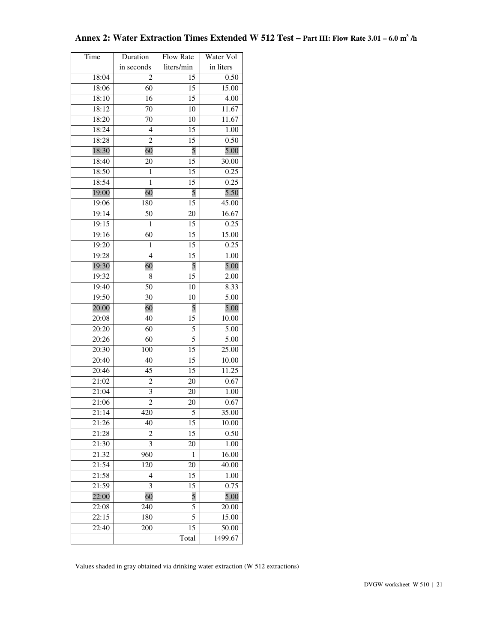| Time           | Duration          | Flow Rate  | Water Vol     |
|----------------|-------------------|------------|---------------|
|                | in seconds        | liters/min | in liters     |
| 18:04          | 2                 | 15         | 0.50          |
| 18:06          | 60                | 15         | 15.00         |
| 18:10          | 16                | 15         | 4.00          |
| 18:12          | 70                | 10         | 11.67         |
| 18:20          | 70                | 10         | 11.67         |
| 18:24          | $\overline{4}$    | 15         | 1.00          |
| 18:28          | $\overline{2}$    | 15         | 0.50          |
| 18:30          | 60                | 5          | 5.00          |
| 18:40          | 20                | 15         | 30.00         |
| 18:50          | 1                 | 15         | 0.25          |
| 18:54          | 1                 | 15         | 0.25          |
| 19:00          | 60                | 5          | 5.50          |
| 19:06          | 180               | 15         | 45.00         |
| 19:14          | 50                | 20         | 16.67         |
| 19:15          | 1                 | 15         | 0.25          |
| 19:16          | 60                | 15         | 15.00         |
| 19:20          | 1                 | 15         | 0.25          |
| 19:28          | $\overline{4}$    | 15         | 1.00          |
| 19:30          | 60                | 5          | 5.00          |
| 19:32          | 8                 | 15         | 2.00          |
| 19:40          | 50                | 10         | 8.33          |
| 19:50          | 30                | 10         | 5.00          |
| 20.00          | 60                | 5          | 5.00          |
| 20:08          | 40                | 15         | 10.00         |
| 20:20          | 60                | 5          | 5.00          |
| 20:26          | 60                | 5          | 5.00          |
| 20:30          | 100               | 15         | 25.00         |
| 20:40          | 40                | 15         | 10.00         |
| 20:46          | 45                | 15         | 11.25         |
| 21:02          | 2                 | 20         | 0.67          |
| 21:04          | 3                 | 20         | 1.00          |
| 21:06          | $\sqrt{2}$<br>420 | 20<br>5    | 0.67          |
| 21:14<br>21:26 | 40                |            | 35.00         |
| 21:28          | 2                 | 15<br>15   | 10.00<br>0.50 |
| 21:30          | 3                 | 20         | 1.00          |
| 21.32          | 960               | 1          | 16.00         |
| 21:54          | 120               | 20         | 40.00         |
| 21:58          | 4                 | 15         | 1.00          |
| 21:59          | 3                 | 15         | 0.75          |
| 22:00          | 60                | 5          | 5.00          |
| 22:08          | 240               | 5          | 20.00         |
| 22:15          | 180               | 5          | 15.00         |
| 22:40          | 200               | 15         | 50.00         |
|                |                   | Total      | 1499.67       |

# **Annex 2: Water Extraction Times Extended W 512 Test – Part III: Flow Rate 3.01 – 6.0 m<sup>3</sup> /h**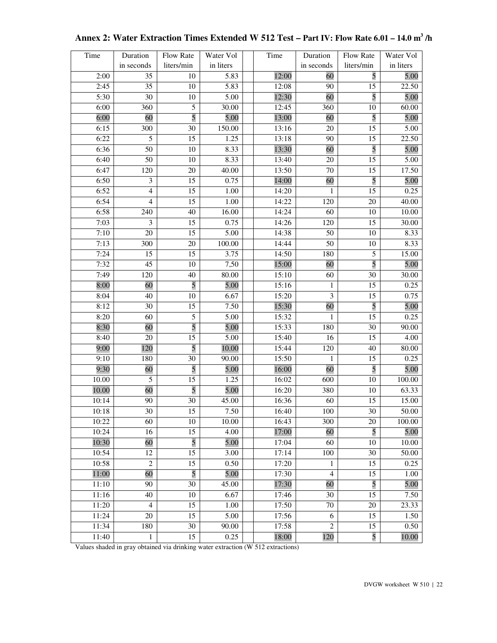| Time  | Duration        | Flow Rate       | Water Vol | Time  | Duration                | Flow Rate       | Water Vol |
|-------|-----------------|-----------------|-----------|-------|-------------------------|-----------------|-----------|
|       | in seconds      | liters/min      | in liters |       | in seconds              | liters/min      | in liters |
| 2:00  | 35              | 10              | 5.83      | 12:00 | 60                      | 5               | 5.00      |
| 2:45  | 35              | 10              | 5.83      | 12:08 | 90                      | 15              | 22.50     |
| 5:30  | 30              | $10\,$          | 5.00      | 12:30 | 60                      | 5               | 5.00      |
| 6:00  | 360             | 5               | 30.00     | 12:45 | 360                     | 10              | 60.00     |
| 6:00  | 60              | $\overline{5}$  | 5.00      | 13:00 | 60                      | 5               | 5.00      |
| 6:15  | 300             | 30              | 150.00    | 13:16 | 20                      | 15              | 5.00      |
| 6:22  | $\overline{5}$  | 15              | 1.25      | 13:18 | 90                      | 15              | 22.50     |
| 6:36  | 50              | 10              | 8.33      | 13:30 | 60                      | 5               | 5.00      |
| 6:40  | 50              | 10              | 8.33      | 13:40 | 20                      | 15              | 5.00      |
| 6:47  | 120             | 20              | 40.00     | 13:50 | 70                      | 15              | 17.50     |
| 6:50  | 3               | 15              | 0.75      | 14:00 | 60                      | 5               | 5.00      |
| 6:52  | $\overline{4}$  | 15              | 1.00      | 14:20 | 1                       | 15              | 0.25      |
| 6:54  | $\overline{4}$  | 15              | 1.00      | 14:22 | 120                     | $20\,$          | 40.00     |
| 6:58  | 240             | 40              | 16.00     | 14:24 | 60                      | 10              | 10.00     |
| 7:03  | 3               | 15              | 0.75      | 14:26 | 120                     | 15              | 30.00     |
| 7:10  | 20              | 15              | 5.00      | 14:38 | 50                      | 10              | 8.33      |
| 7:13  | 300             | 20              | 100.00    | 14:44 | 50                      | 10              | 8.33      |
| 7:24  | 15              | 15              | 3.75      | 14:50 | 180                     | 5               | 15.00     |
| 7:32  | 45              | 10              | 7,50      | 15:00 | 60                      | 5               | 5.00      |
| 7:49  | 120             | 40              | 80.00     | 15:10 | 60                      | $\overline{30}$ | 30.00     |
| 8:00  | 60              | $\overline{5}$  | 5.00      | 15:16 | 1                       | 15              | 0.25      |
| 8:04  | 40              | 10              | 6.67      | 15:20 | 3                       | 15              | 0.75      |
| 8:12  | 30              | 15              | 7.50      | 15:30 | 60                      | 5               | 5.00      |
| 8:20  | 60              | 5               | 5.00      | 15:32 | $\mathbf{1}$            | 15              | 0.25      |
| 8:30  | 60              | 5               | 5.00      | 15:33 | 180                     | 30              | 90.00     |
| 8:40  | 20              | 15              | 5.00      | 15:40 | 16                      | 15              | 4.00      |
| 9:00  | 120             | 5               | 10.00     | 15:44 | 120                     | 40              | 80.00     |
| 9:10  | 180             | 30              | 90.00     | 15:50 | 1                       | 15              | 0.25      |
| 9:30  | 60              | 5               | 5.00      | 16:00 | 60                      | 5               | 5.00      |
| 10.00 | 5               | 15              | 1.25      | 16:02 | 600                     | 10              | 100.00    |
| 10.00 | 60              | 5               | 5.00      | 16:20 | 380                     | 10              | 63.33     |
| 10:14 | 90              | 30              | 45.00     | 16:36 | 60                      | 15              | 15.00     |
| 10:18 | $\overline{30}$ | 15              | 7.50      | 16:40 | 100                     | $\overline{30}$ | 50.00     |
| 10:22 | 60              | 10              | 10.00     | 16:43 | 300                     | 20              | 100.00    |
| 10:24 | 16              | 15              | 4.00      | 17:00 | 60                      | 5               | 5.00      |
| 10:30 | 60              | 5               | 5.00      | 17:04 | 60                      | 10              | 10.00     |
| 10:54 | 12              | 15              | 3.00      | 17:14 | 100                     | 30              | 50.00     |
| 10:58 | $\mathfrak{2}$  | 15              | 0.50      | 17:20 | 1                       | 15              | 0.25      |
| 11:00 | 60              | 5               | 5.00      | 17:30 | $\overline{\mathbf{4}}$ | 15              | 1.00      |
| 11:10 | 90              | $\overline{30}$ | 45.00     | 17:30 | 60                      | 5               | 5.00      |
| 11:16 | 40              | 10              | 6.67      | 17:46 | 30                      | 15              | 7.50      |
| 11:20 | $\overline{4}$  | 15              | 1.00      | 17:50 | 70                      | $20\,$          | 23.33     |
| 11:24 | 20              | 15              | 5.00      | 17:56 | 6                       | 15              | 1.50      |
| 11:34 | 180             | 30              | 90.00     | 17:58 | $\overline{c}$          | 15              | 0.50      |
| 11:40 | $\mathbf{1}$    | 15              | 0.25      | 18:00 | 120                     | 5               | 10.00     |

# **Annex 2: Water Extraction Times Extended W 512 Test – Part IV: Flow Rate 6.01 – 14.0 m<sup>3</sup> /h**